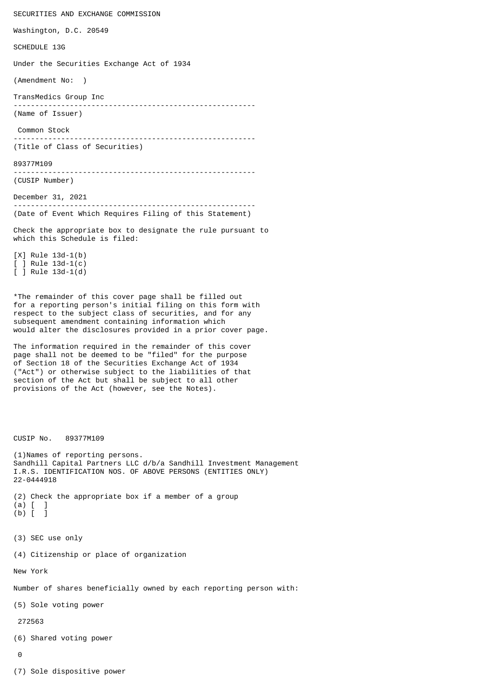SECURITIES AND EXCHANGE COMMISSION Washington, D.C. 20549 SCHEDULE 13G Under the Securities Exchange Act of 1934 (Amendment No: ) TransMedics Group Inc -------------------------------------------------------- (Name of Issuer) Common Stock -------------------------------------------------------- (Title of Class of Securities) 89377M109 -------------------------------------------------------- (CUSIP Number) December 31, 2021 -------------------------------------------------------- (Date of Event Which Requires Filing of this Statement) Check the appropriate box to designate the rule pursuant to which this Schedule is filed: [X] Rule 13d-1(b) [ ] Rule 13d-1(c) [ ] Rule 13d-1(d) \*The remainder of this cover page shall be filled out for a reporting person's initial filing on this form with respect to the subject class of securities, and for any subsequent amendment containing information which would alter the disclosures provided in a prior cover page. The information required in the remainder of this cover page shall not be deemed to be "filed" for the purpose of Section 18 of the Securities Exchange Act of 1934 ("Act") or otherwise subject to the liabilities of that section of the Act but shall be subject to all other provisions of the Act (however, see the Notes). CUSIP No. 89377M109 (1)Names of reporting persons. Sandhill Capital Partners LLC d/b/a Sandhill Investment Management I.R.S. IDENTIFICATION NOS. OF ABOVE PERSONS (ENTITIES ONLY) 22-0444918 (2) Check the appropriate box if a member of a group (a) [ ]  $(b)$   $\begin{bmatrix} 1 \\ 1 \end{bmatrix}$ (3) SEC use only (4) Citizenship or place of organization New York Number of shares beneficially owned by each reporting person with: (5) Sole voting power 272563 (6) Shared voting power  $\Omega$ (7) Sole dispositive power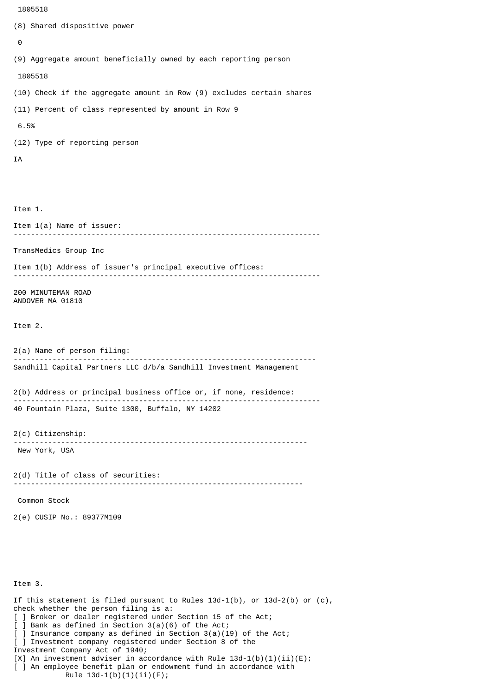```
 1805518
```
(8) Shared dispositive power

```
\boldsymbol{\Theta}(9) Aggregate amount beneficially owned by each reporting person
  1805518
(10) Check if the aggregate amount in Row (9) excludes certain shares
(11) Percent of class represented by amount in Row 9
 6.5%
(12) Type of reporting person
IA
Item 1.
Item 1(a) Name of issuer:
           -----------------------------------------------------------------------
TransMedics Group Inc
Item 1(b) Address of issuer's principal executive offices:
-----------------------------------------------------------------------
200 MINUTEMAN ROAD
ANDOVER MA 01810
Item 2.
2(a) Name of person filing:
              ----------------------------------------------------------------------
Sandhill Capital Partners LLC d/b/a Sandhill Investment Management
2(b) Address or principal business office or, if none, residence:
                                                                -----------------------------------------------------------------------
40 Fountain Plaza, Suite 1300, Buffalo, NY 14202
2(c) Citizenship:
                   --------------------------------------------------------------------
 New York, USA
2(d) Title of class of securities:
                                         -------------------------------------------------------------------
 Common Stock
2(e) CUSIP No.: 89377M109
Item 3.
If this statement is filed pursuant to Rules 13d-1(b), or 13d-2(b) or (c),
check whether the person filing is a:
[ ] Broker or dealer registered under Section 15 of the Act;
  \overline{)} Bank as defined in Section 3(a)(6) of the Act;
\overline{[} ] Insurance company as defined in Section 3(a)(19) of the Act;
[ ] Investment company registered under Section 8 of the
Investment Company Act of 1940;
[0, 1] An investment adviser in accordance with Rule 13d-1(b)(1)(ii)(E);
[ ] An employee benefit plan or endowment fund in accordance with
             Rule 13d-1(b)(1)(ii)(F);
```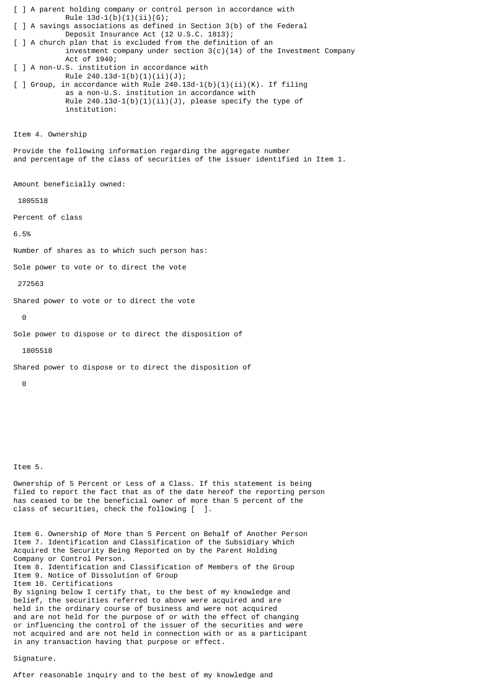[ ] A parent holding company or control person in accordance with Rule  $13d-1(b)(1)(ii)(G);$ [ ] A savings associations as defined in Section 3(b) of the Federal Deposit Insurance Act (12 U.S.C. 1813); [ ] A church plan that is excluded from the definition of an investment company under section  $3(c)(14)$  of the Investment Company Act of 1940; [ ] A non-U.S. institution in accordance with Rule  $240.13d-1(b)(1)(ii)(J);$ [ ] Group, in accordance with Rule  $240.13d-1(b)(1)(ii)(K)$ . If filing as a non-U.S. institution in accordance with Rule 240.13d-1(b)(1)(ii)(J), please specify the type of institution: Item 4. Ownership Provide the following information regarding the aggregate number and percentage of the class of securities of the issuer identified in Item 1. Amount beneficially owned: 1805518 Percent of class

6.5%

Number of shares as to which such person has:

Sole power to vote or to direct the vote

272563

Shared power to vote or to direct the vote

 $\Omega$ 

Sole power to dispose or to direct the disposition of

1805518

Shared power to dispose or to direct the disposition of

 $\Theta$ 

## Item 5.

Ownership of 5 Percent or Less of a Class. If this statement is being filed to report the fact that as of the date hereof the reporting person has ceased to be the beneficial owner of more than 5 percent of the class of securities, check the following [ ].

Item 6. Ownership of More than 5 Percent on Behalf of Another Person Item 7. Identification and Classification of the Subsidiary Which Acquired the Security Being Reported on by the Parent Holding Company or Control Person. Item 8. Identification and Classification of Members of the Group Item 9. Notice of Dissolution of Group Item 10. Certifications By signing below I certify that, to the best of my knowledge and belief, the securities referred to above were acquired and are held in the ordinary course of business and were not acquired and are not held for the purpose of or with the effect of changing or influencing the control of the issuer of the securities and were not acquired and are not held in connection with or as a participant in any transaction having that purpose or effect.

## Signature.

After reasonable inquiry and to the best of my knowledge and